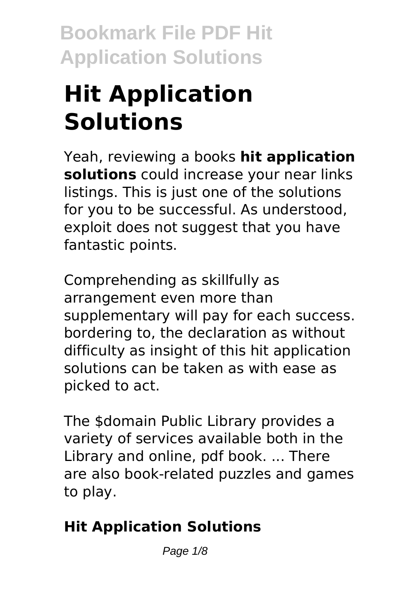# **Hit Application Solutions**

Yeah, reviewing a books **hit application solutions** could increase your near links listings. This is just one of the solutions for you to be successful. As understood, exploit does not suggest that you have fantastic points.

Comprehending as skillfully as arrangement even more than supplementary will pay for each success. bordering to, the declaration as without difficulty as insight of this hit application solutions can be taken as with ease as picked to act.

The \$domain Public Library provides a variety of services available both in the Library and online, pdf book. ... There are also book-related puzzles and games to play.

# **Hit Application Solutions**

Page  $1/8$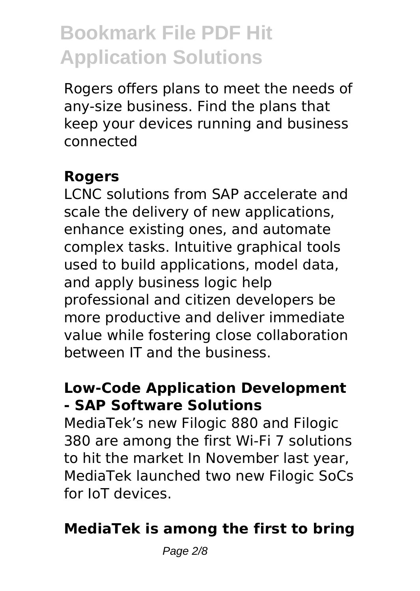Rogers offers plans to meet the needs of any-size business. Find the plans that keep your devices running and business connected

#### **Rogers**

LCNC solutions from SAP accelerate and scale the delivery of new applications, enhance existing ones, and automate complex tasks. Intuitive graphical tools used to build applications, model data, and apply business logic help professional and citizen developers be more productive and deliver immediate value while fostering close collaboration between IT and the business.

### **Low-Code Application Development - SAP Software Solutions**

MediaTek's new Filogic 880 and Filogic 380 are among the first Wi-Fi 7 solutions to hit the market In November last year, MediaTek launched two new Filogic SoCs for IoT devices.

## **MediaTek is among the first to bring**

Page  $2/8$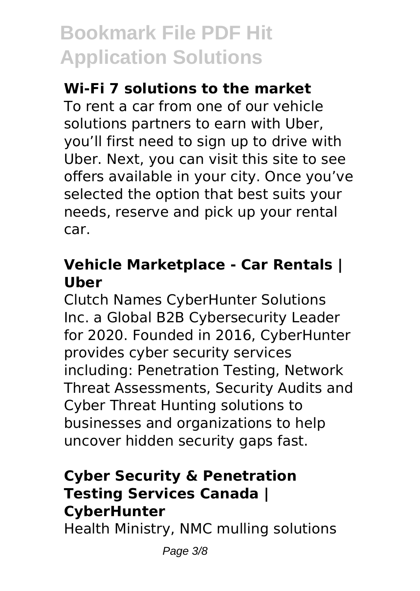### **Wi-Fi 7 solutions to the market**

To rent a car from one of our vehicle solutions partners to earn with Uber, you'll first need to sign up to drive with Uber. Next, you can visit this site to see offers available in your city. Once you've selected the option that best suits your needs, reserve and pick up your rental car.

#### **Vehicle Marketplace - Car Rentals | Uber**

Clutch Names CyberHunter Solutions Inc. a Global B2B Cybersecurity Leader for 2020. Founded in 2016, CyberHunter provides cyber security services including: Penetration Testing, Network Threat Assessments, Security Audits and Cyber Threat Hunting solutions to businesses and organizations to help uncover hidden security gaps fast.

## **Cyber Security & Penetration Testing Services Canada | CyberHunter**

Health Ministry, NMC mulling solutions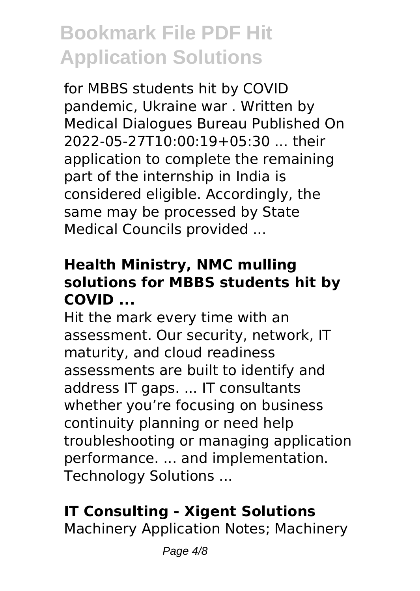for MBBS students hit by COVID pandemic, Ukraine war . Written by Medical Dialogues Bureau Published On 2022-05-27T10:00:19+05:30 ... their application to complete the remaining part of the internship in India is considered eligible. Accordingly, the same may be processed by State Medical Councils provided ...

## **Health Ministry, NMC mulling solutions for MBBS students hit by COVID ...**

Hit the mark every time with an assessment. Our security, network, IT maturity, and cloud readiness assessments are built to identify and address IT gaps. ... IT consultants whether you're focusing on business continuity planning or need help troubleshooting or managing application performance. ... and implementation. Technology Solutions ...

# **IT Consulting - Xigent Solutions**

Machinery Application Notes; Machinery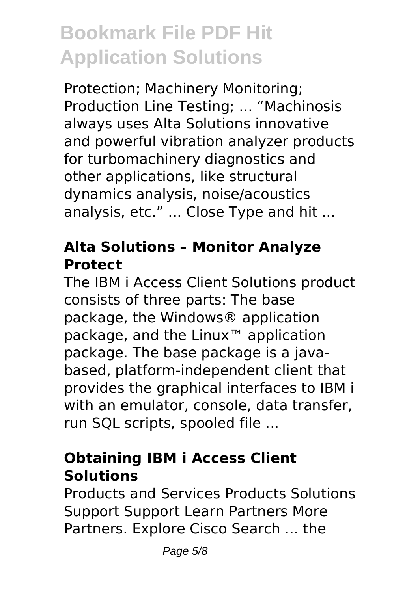Protection; Machinery Monitoring; Production Line Testing; ... "Machinosis always uses Alta Solutions innovative and powerful vibration analyzer products for turbomachinery diagnostics and other applications, like structural dynamics analysis, noise/acoustics analysis, etc." ... Close Type and hit ...

#### **Alta Solutions – Monitor Analyze Protect**

The IBM i Access Client Solutions product consists of three parts: The base package, the Windows® application package, and the Linux™ application package. The base package is a javabased, platform-independent client that provides the graphical interfaces to IBM i with an emulator, console, data transfer, run SQL scripts, spooled file ...

# **Obtaining IBM i Access Client Solutions**

Products and Services Products Solutions Support Support Learn Partners More Partners. Explore Cisco Search ... the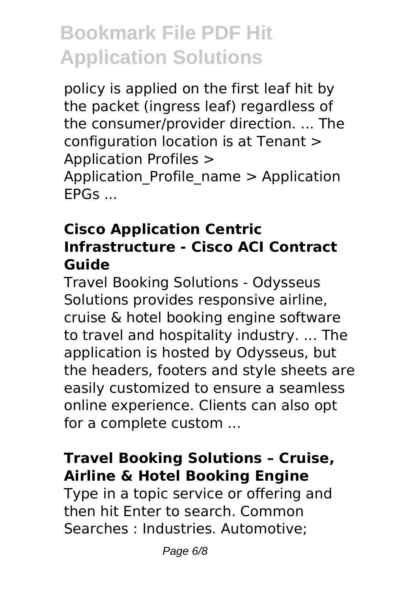policy is applied on the first leaf hit by the packet (ingress leaf) regardless of the consumer/provider direction. ... The configuration location is at Tenant > Application Profiles > Application Profile name > Application EPGs ...

#### **Cisco Application Centric Infrastructure - Cisco ACI Contract Guide**

Travel Booking Solutions - Odysseus Solutions provides responsive airline, cruise & hotel booking engine software to travel and hospitality industry. ... The application is hosted by Odysseus, but the headers, footers and style sheets are easily customized to ensure a seamless online experience. Clients can also opt for a complete custom ...

## **Travel Booking Solutions – Cruise, Airline & Hotel Booking Engine**

Type in a topic service or offering and then hit Enter to search. Common Searches : Industries. Automotive;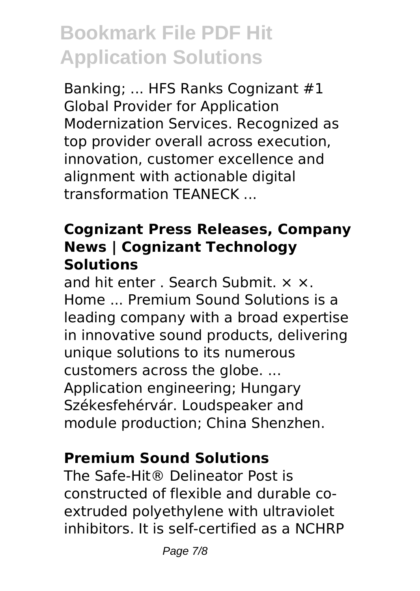Banking; ... HFS Ranks Cognizant #1 Global Provider for Application Modernization Services. Recognized as top provider overall across execution, innovation, customer excellence and alignment with actionable digital transformation TEANECK ...

#### **Cognizant Press Releases, Company News | Cognizant Technology Solutions**

and hit enter . Search Submit. × ×. Home ... Premium Sound Solutions is a leading company with a broad expertise in innovative sound products, delivering unique solutions to its numerous customers across the globe. ... Application engineering; Hungary Székesfehérvár. Loudspeaker and module production; China Shenzhen.

## **Premium Sound Solutions**

The Safe-Hit® Delineator Post is constructed of flexible and durable coextruded polyethylene with ultraviolet inhibitors. It is self-certified as a NCHRP